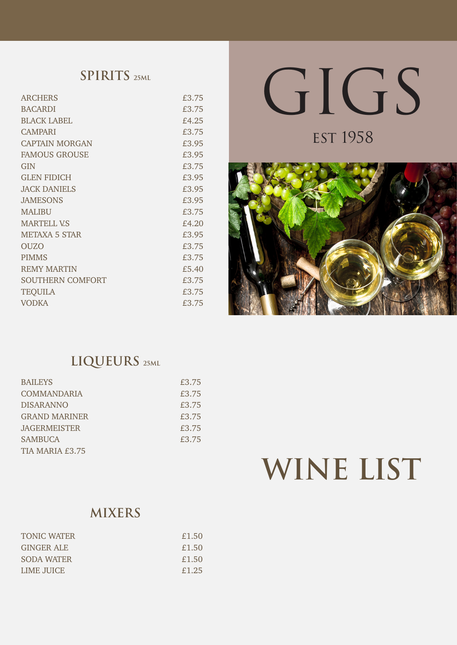# **SPIRITS 25ML**

| <b>ARCHERS</b>          | £3.75 |
|-------------------------|-------|
| <b>BACARDI</b>          | £3.75 |
| <b>BLACK LABEL</b>      | £4.25 |
| <b>CAMPARI</b>          | £3.75 |
| <b>CAPTAIN MORGAN</b>   | £3.95 |
| <b>FAMOUS GROUSE</b>    | £3.95 |
| <b>GIN</b>              | £3.75 |
| <b>GLEN FIDICH</b>      | £3.95 |
| <b>JACK DANIELS</b>     | £3.95 |
| <b>JAMESONS</b>         | £3.95 |
| <b>MALIBU</b>           | £3.75 |
| <b>MARTELL V.S</b>      | £4.20 |
| <b>METAXA 5 STAR</b>    | £3.95 |
| <b>OUZO</b>             | £3.75 |
| <b>PIMMS</b>            | £3.75 |
| <b>REMY MARTIN</b>      | £5.40 |
| <b>SOUTHERN COMFORT</b> | £3.75 |
| <b>TEQUILA</b>          | £3.75 |
| <b>VODKA</b>            | £3.75 |

# GIGS

**EST 1958** 



# **LIQUEURS 25ML**

| £3.75 |
|-------|
| £3.75 |
| £3.75 |
| £3.75 |
| £3.75 |
| £3.75 |
|       |
|       |

# **WINE LIST**

# **MIXERS**

| <b>TONIC WATER</b> | £1.50 |
|--------------------|-------|
| <b>GINGER ALE</b>  | £1.50 |
| SODA WATER         | £1.50 |
| LIME JUICE.        | £1.25 |